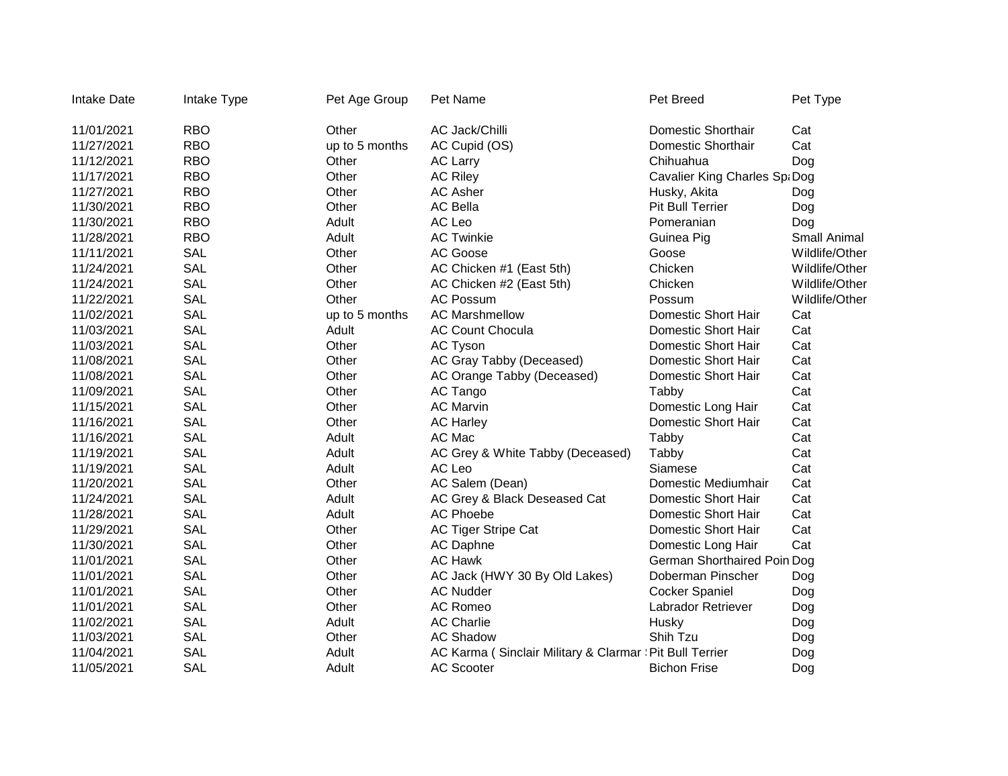| <b>Intake Date</b> | Intake Type | Pet Age Group  | Pet Name                                                 | Pet Breed                          | Pet Type       |
|--------------------|-------------|----------------|----------------------------------------------------------|------------------------------------|----------------|
| 11/01/2021         | <b>RBO</b>  | Other          | AC Jack/Chilli                                           | <b>Domestic Shorthair</b>          | Cat            |
| 11/27/2021         | <b>RBO</b>  | up to 5 months | AC Cupid (OS)                                            | <b>Domestic Shorthair</b>          | Cat            |
| 11/12/2021         | <b>RBO</b>  | Other          | <b>AC Larry</b>                                          | Chihuahua                          | Dog            |
| 11/17/2021         | <b>RBO</b>  | Other          | <b>AC Riley</b>                                          | Cavalier King Charles Sp. Dog      |                |
| 11/27/2021         | <b>RBO</b>  | Other          | <b>AC Asher</b>                                          | Husky, Akita                       | Dog            |
| 11/30/2021         | <b>RBO</b>  | Other          | <b>AC Bella</b>                                          | <b>Pit Bull Terrier</b>            | Dog            |
| 11/30/2021         | <b>RBO</b>  | Adult          | AC Leo                                                   | Pomeranian                         | Dog            |
| 11/28/2021         | <b>RBO</b>  | Adult          | <b>AC Twinkie</b>                                        | Guinea Pig                         | Small Animal   |
| 11/11/2021         | <b>SAL</b>  | Other          | AC Goose                                                 | Goose                              | Wildlife/Other |
| 11/24/2021         | <b>SAL</b>  | Other          | AC Chicken #1 (East 5th)                                 | Chicken                            | Wildlife/Other |
| 11/24/2021         | <b>SAL</b>  | Other          | AC Chicken #2 (East 5th)                                 | Chicken                            | Wildlife/Other |
| 11/22/2021         | <b>SAL</b>  | Other          | <b>AC Possum</b>                                         | Possum                             | Wildlife/Other |
| 11/02/2021         | <b>SAL</b>  | up to 5 months | <b>AC Marshmellow</b>                                    | <b>Domestic Short Hair</b>         | Cat            |
| 11/03/2021         | <b>SAL</b>  | Adult          | <b>AC Count Chocula</b>                                  | <b>Domestic Short Hair</b>         | Cat            |
| 11/03/2021         | <b>SAL</b>  | Other          | <b>AC Tyson</b>                                          | <b>Domestic Short Hair</b>         | Cat            |
| 11/08/2021         | <b>SAL</b>  | Other          | AC Gray Tabby (Deceased)                                 | <b>Domestic Short Hair</b>         | Cat            |
| 11/08/2021         | <b>SAL</b>  | Other          | AC Orange Tabby (Deceased)                               | <b>Domestic Short Hair</b>         | Cat            |
| 11/09/2021         | <b>SAL</b>  | Other          | AC Tango                                                 | Tabby                              | Cat            |
| 11/15/2021         | <b>SAL</b>  | Other          | <b>AC Marvin</b>                                         | Domestic Long Hair                 | Cat            |
| 11/16/2021         | <b>SAL</b>  | Other          | <b>AC Harley</b>                                         | <b>Domestic Short Hair</b>         | Cat            |
| 11/16/2021         | <b>SAL</b>  | Adult          | AC Mac                                                   | Tabby                              | Cat            |
| 11/19/2021         | <b>SAL</b>  | Adult          | AC Grey & White Tabby (Deceased)                         | Tabby                              | Cat            |
| 11/19/2021         | <b>SAL</b>  | Adult          | AC Leo                                                   | Siamese                            | Cat            |
| 11/20/2021         | <b>SAL</b>  | Other          | AC Salem (Dean)                                          | Domestic Mediumhair                | Cat            |
| 11/24/2021         | <b>SAL</b>  | Adult          | AC Grey & Black Deseased Cat                             | <b>Domestic Short Hair</b>         | Cat            |
| 11/28/2021         | <b>SAL</b>  | Adult          | <b>AC Phoebe</b>                                         | <b>Domestic Short Hair</b>         | Cat            |
| 11/29/2021         | <b>SAL</b>  | Other          | AC Tiger Stripe Cat                                      | <b>Domestic Short Hair</b>         | Cat            |
| 11/30/2021         | <b>SAL</b>  | Other          | <b>AC Daphne</b>                                         | Domestic Long Hair                 | Cat            |
| 11/01/2021         | <b>SAL</b>  | Other          | <b>AC Hawk</b>                                           | <b>German Shorthaired Poin Dog</b> |                |
| 11/01/2021         | <b>SAL</b>  | Other          | AC Jack (HWY 30 By Old Lakes)                            | Doberman Pinscher                  | Dog            |
| 11/01/2021         | <b>SAL</b>  | Other          | <b>AC Nudder</b>                                         | <b>Cocker Spaniel</b>              | Dog            |
| 11/01/2021         | <b>SAL</b>  | Other          | <b>AC Romeo</b>                                          | Labrador Retriever                 | Dog            |
| 11/02/2021         | <b>SAL</b>  | Adult          | <b>AC Charlie</b>                                        | Husky                              | Dog            |
| 11/03/2021         | <b>SAL</b>  | Other          | <b>AC Shadow</b>                                         | Shih Tzu                           | Dog            |
| 11/04/2021         | <b>SAL</b>  | Adult          | AC Karma (Sinclair Military & Clarmar : Pit Bull Terrier |                                    | Dog            |
| 11/05/2021         | <b>SAL</b>  | Adult          | <b>AC Scooter</b>                                        | <b>Bichon Frise</b>                | Dog            |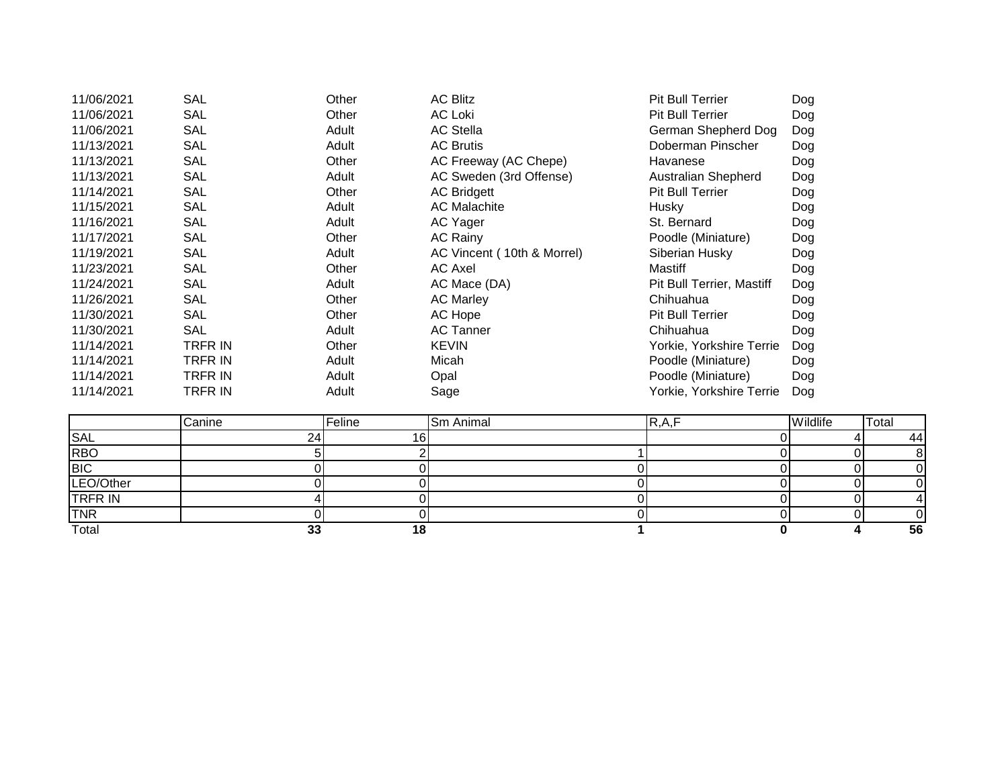| 11/06/2021 | <b>SAL</b>     | Other | <b>AC Blitz</b>            | <b>Pit Bull Terrier</b>          | Dog |
|------------|----------------|-------|----------------------------|----------------------------------|-----|
| 11/06/2021 | <b>SAL</b>     | Other | <b>AC Loki</b>             | <b>Pit Bull Terrier</b>          | Dog |
| 11/06/2021 | <b>SAL</b>     | Adult | <b>AC Stella</b>           | German Shepherd Dog              | Dog |
| 11/13/2021 | <b>SAL</b>     | Adult | <b>AC Brutis</b>           | Doberman Pinscher                | Dog |
| 11/13/2021 | <b>SAL</b>     | Other | AC Freeway (AC Chepe)      | Havanese                         | Dog |
| 11/13/2021 | SAL            | Adult | AC Sweden (3rd Offense)    | Australian Shepherd              | Dog |
| 11/14/2021 | <b>SAL</b>     | Other | <b>AC Bridgett</b>         | <b>Pit Bull Terrier</b>          | Dog |
| 11/15/2021 | <b>SAL</b>     | Adult | <b>AC Malachite</b>        | Husky                            | Dog |
| 11/16/2021 | <b>SAL</b>     | Adult | AC Yager                   | St. Bernard                      | Dog |
| 11/17/2021 | <b>SAL</b>     | Other | <b>AC Rainy</b>            | Poodle (Miniature)               | Dog |
| 11/19/2021 | <b>SAL</b>     | Adult | AC Vincent (10th & Morrel) | Siberian Husky                   | Dog |
| 11/23/2021 | <b>SAL</b>     | Other | <b>AC Axel</b>             | Mastiff                          | Dog |
| 11/24/2021 | <b>SAL</b>     | Adult | AC Mace (DA)               | <b>Pit Bull Terrier, Mastiff</b> | Dog |
| 11/26/2021 | SAL            | Other | <b>AC Marley</b>           | Chihuahua                        | Dog |
| 11/30/2021 | SAL            | Other | AC Hope                    | <b>Pit Bull Terrier</b>          | Dog |
| 11/30/2021 | <b>SAL</b>     | Adult | <b>AC Tanner</b>           | Chihuahua                        | Dog |
| 11/14/2021 | <b>TRFR IN</b> | Other | <b>KEVIN</b>               | Yorkie, Yorkshire Terrie         | Dog |
| 11/14/2021 | <b>TRFR IN</b> | Adult | Micah                      | Poodle (Miniature)               | Dog |
| 11/14/2021 | TRFR IN        | Adult | Opal                       | Poodle (Miniature)               | Dog |
| 11/14/2021 | TRFR IN        | Adult | Sage                       | Yorkie, Yorkshire Terrie         | Dog |

|                | Canine     | Feline | <b>Sm Animal</b> | R, A, F | Wildlife | 'Total |
|----------------|------------|--------|------------------|---------|----------|--------|
| SAL            | <b>24'</b> | 161    |                  |         |          | 441    |
| <b>RBO</b>     |            |        |                  |         |          |        |
| <b>BIC</b>     |            |        |                  |         |          |        |
| LEO/Other      |            |        |                  |         |          |        |
| <b>TRFR IN</b> |            |        |                  |         |          |        |
| <b>TNR</b>     |            |        |                  |         |          |        |
| Total          | ົ<br>◡     |        |                  |         |          | 56     |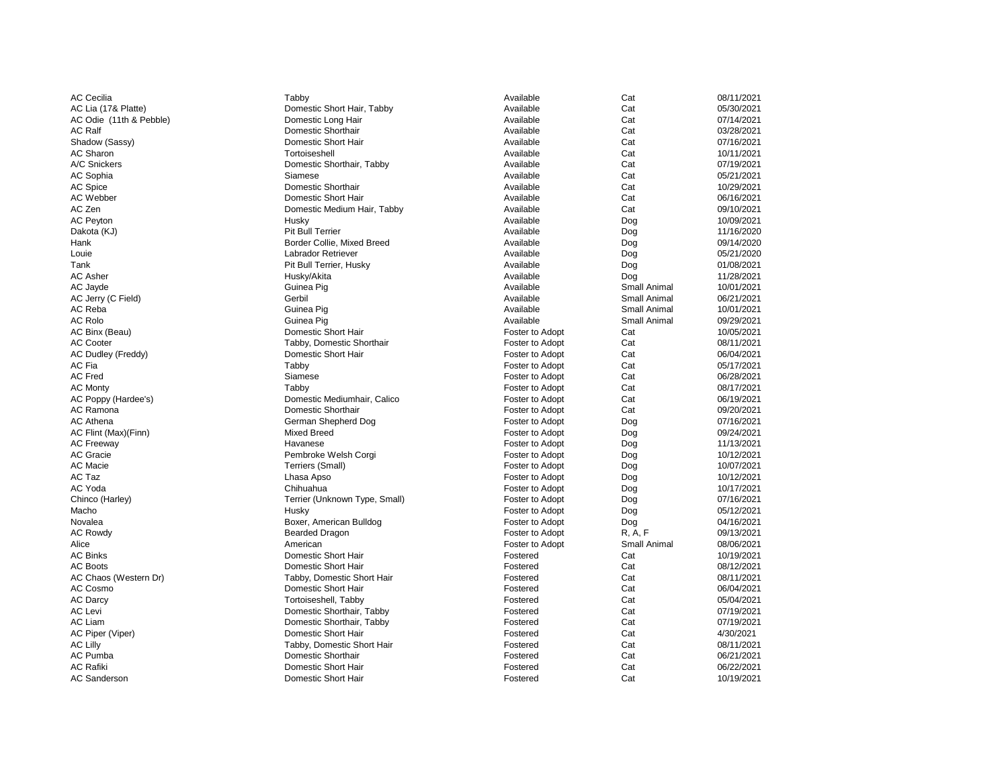AC Cecilia Tabby Available Cat 08/11/2021 AC Lia (17& Platte) **Example 2018** Domestic Short Hair, Tabby **Available** Cat Cat 05/30/2021 AC Odie (11th & Pebble) **Example 2008** Domestic Long Hair **Notation Cat** Cat 07/14/2021 AC Ralf Domestic Shorthair Available Cat 03/28/2021 Shadow (Sassy) **Example 2018** Domestic Short Hair **Cat** Cat Cat 07/16/2021 AC Sharon Tortoiseshell Available Cat 10/11/2021 A/C Snickers **Exercise Shorthair, Tabby Cat** Cat 07/19/2021 AC Sophia Siamese Available Cat 05/21/2021 AC Spice **Cat Cat** 20/29/2021 AC Webber **Cat** Cat 16/16/2021 **Domestic Short Hair** Cat Cat 16/16/2021 AC Zen Domestic Medium Hair, Tabby Available Cat 09/10/2021 AC Peyton Husky Available Dog 10/09/2021 Dakota (KJ) Pit Bull Terrier Available Dog 11/16/2020 Hank **Border Collie, Mixed Breed** Available Available Dog Dog 09/14/2020 Louie Labrador Retriever Available Dog 05/21/2020 Tank **Pit Bull Terrier, Husky Property Available** Dog Dog 01/08/2021 AC Asher Husky/Akita Available Dog 11/28/2021 AC Jayde Guinea Pig Available Small Animal 10/01/2021 AC Jerry (C Field) Gerbil Available Small Animal 06/21/2021 AC Reba Guinea Pig Available Small Animal 10/01/2021 AC Rolo Guinea Pig Available Small Animal 09/29/2021 AC Binx (Beau) **Example 2018** Domestic Short Hair **Foster to Adopt** Cat Cat 10/05/2021 AC Cooter **Tabby, Domestic Shorthair Tabby, Domestic Shorthair Foster to Adopt** Cat Cat 08/11/2021 AC Dudley (Freddy) **Example 2018** Domestic Short Hair Foster to Adopt Cat Cat 06/04/2021 AC Fia Tabby Foster to Adopt Cat 05/17/2021 AC Fred Cat the Siamese Shamese Simmun of the State of States of the Siamese Simmun of the Siamese Cat Cat the M AC Monty **Tabby** Tabby Tabby Tabby **Foster to Adopt** Cat Cat 08/17/2021 AC Poppy (Hardee's) **Domestic Mediumhair, Calico** Foster to Adopt Cat Cat 06/19/2021 AC Ramona Domestic Shorthair Foster to Adopt Cat 09/20/2021 AC Athena **Example 2018** German Shepherd Dog **Foster to Adopt** Dog Dog 07/16/2021 AC Flint (Max)(Finn) **Example 2018** Mixed Breed Mixed Breed Foster to Adopt Dog Dog 09/24/2021 AC Freeway **Example 20 Transformation** Havanese **Foster to Adopt** Poster to Adopt Dog 11/13/2021 AC Gracie **Example 2018** Pembroke Welsh Corgi **Foster to Adopt** Poster to Adopt Dog 10/12/2021 AC Macie Terriers (Small) Foster to Adopt Dog 10/07/2021 AC Taz Lhasa Apso Foster to Adopt Dog 10/12/2021 AC Yoda Chihuahua Foster to Adopt Dog 10/17/2021 Chinco (Harley) **Terrier (Unknown Type, Small)** Foster to Adopt Dog Dog 07/16/2021 Macho Husky Foster to Adopt Dog 05/12/2021 Novalea **Boxer, American Bulldog Foster to Adopt** Dog Dog 04/16/2021 AC Rowdy Bearded Dragon Foster to Adopt R, A, F 09/13/2021 Alice **American American** American American **Foster to Adopt** Small Animal 08/06/2021 AC Binks **Example 2018** Domestic Short Hair **Fostered** Fostered Cat Cat 10/19/2021 AC Boots **Example 20 The Strutter Cat** Cat 08/12/2021 Cat 08/12/2021 AC Chaos (Western Dr) Tabby, Domestic Short Hair Fostered Cat Cat 08/11/2021 AC Cosmo **Domestic Short Hair** Fostered Cat Cat 06/04/2021 AC Darcy **Example 20 Tortoiseshell**, Tabby **Fostered** Fostered Cat Cat 05/04/2021 AC Levi Domestic Shorthair, Tabby Fostered Cat 07/19/2021 AC Liam **Example 2018** Domestic Shorthair, Tabby **Fostered** Fostered Cat Cat 07/19/2021 AC Piper (Viper) **Example 2018** Domestic Short Hair **Fostered** Fostered Cat 4/30/2021 AC Lilly **Tabby, Domestic Short Hair Fostered** Cat Cat 08/11/2021 AC Pumba Domestic Shorthair Fostered Cat 06/21/2021 AC Rafiki **Example 2018** Domestic Short Hair **Fostered** Fostered Cat Cat 06/22/2021 AC Sanderson **Example 2018** Domestic Short Hair **Fostered** Fostered Cat Cat 10/19/2021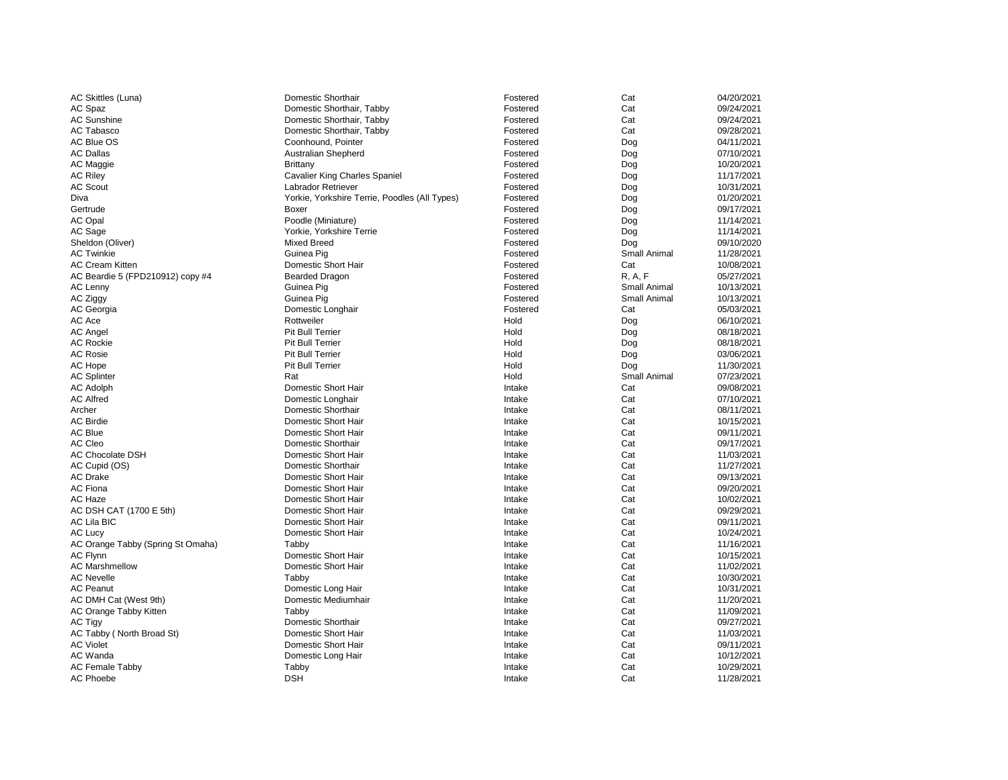| AC Skittles (Luna)                | <b>Domestic Shorthair</b>                     | Fostered | Cat                 | 04/20/2021 |
|-----------------------------------|-----------------------------------------------|----------|---------------------|------------|
| AC Spaz                           | Domestic Shorthair, Tabby                     | Fostered | Cat                 | 09/24/2021 |
| <b>AC Sunshine</b>                | Domestic Shorthair, Tabby                     | Fostered | Cat                 | 09/24/2021 |
| <b>AC Tabasco</b>                 | Domestic Shorthair, Tabby                     | Fostered | Cat                 | 09/28/2021 |
| AC Blue OS                        | Coonhound, Pointer                            | Fostered | Dog                 | 04/11/2021 |
| <b>AC Dallas</b>                  | <b>Australian Shepherd</b>                    | Fostered | Dog                 | 07/10/2021 |
| AC Maggie                         | <b>Brittany</b>                               | Fostered | Dog                 | 10/20/2021 |
| <b>AC Riley</b>                   | <b>Cavalier King Charles Spaniel</b>          | Fostered | Dog                 | 11/17/2021 |
| <b>AC Scout</b>                   | <b>Labrador Retriever</b>                     | Fostered | Dog                 | 10/31/2021 |
| Diva                              | Yorkie, Yorkshire Terrie, Poodles (All Types) | Fostered | Dog                 | 01/20/2021 |
| Gertrude                          | <b>Boxer</b>                                  | Fostered | Dog                 | 09/17/2021 |
| AC Opal                           | Poodle (Miniature)                            | Fostered | Dog                 | 11/14/2021 |
| AC Sage                           | Yorkie, Yorkshire Terrie                      | Fostered | Dog                 | 11/14/2021 |
| Sheldon (Oliver)                  | <b>Mixed Breed</b>                            | Fostered | Dog                 | 09/10/2020 |
| <b>AC Twinkie</b>                 | Guinea Pig                                    | Fostered | <b>Small Animal</b> | 11/28/2021 |
| <b>AC Cream Kitten</b>            | <b>Domestic Short Hair</b>                    | Fostered | Cat                 | 10/08/2021 |
| AC Beardie 5 (FPD210912) copy #4  | <b>Bearded Dragon</b>                         | Fostered | R, A, F             | 05/27/2021 |
| AC Lenny                          | Guinea Pig                                    | Fostered | <b>Small Animal</b> | 10/13/2021 |
| AC Ziggy                          | Guinea Pig                                    | Fostered | <b>Small Animal</b> | 10/13/2021 |
| AC Georgia                        | Domestic Longhair                             | Fostered | Cat                 | 05/03/2021 |
| AC Ace                            | Rottweiler                                    | Hold     | Dog                 | 06/10/2021 |
| <b>AC Angel</b>                   | <b>Pit Bull Terrier</b>                       | Hold     | Dog                 | 08/18/2021 |
| <b>AC Rockie</b>                  | <b>Pit Bull Terrier</b>                       | Hold     | Dog                 | 08/18/2021 |
| <b>AC Rosie</b>                   | <b>Pit Bull Terrier</b>                       | Hold     | Dog                 | 03/06/2021 |
| AC Hope                           | <b>Pit Bull Terrier</b>                       | Hold     | Dog                 | 11/30/2021 |
| <b>AC Splinter</b>                | Rat                                           | Hold     | <b>Small Animal</b> | 07/23/2021 |
| <b>AC Adolph</b>                  | <b>Domestic Short Hair</b>                    | Intake   | Cat                 | 09/08/2021 |
| <b>AC Alfred</b>                  | Domestic Longhair                             | Intake   | Cat                 | 07/10/2021 |
| Archer                            | <b>Domestic Shorthair</b>                     | Intake   | Cat                 | 08/11/2021 |
| <b>AC Birdie</b>                  | <b>Domestic Short Hair</b>                    | Intake   | Cat                 | 10/15/2021 |
| <b>AC Blue</b>                    | <b>Domestic Short Hair</b>                    | Intake   | Cat                 | 09/11/2021 |
| AC Cleo                           | <b>Domestic Shorthair</b>                     |          | Cat                 | 09/17/2021 |
|                                   |                                               | Intake   |                     |            |
| <b>AC Chocolate DSH</b>           | <b>Domestic Short Hair</b>                    | Intake   | Cat                 | 11/03/2021 |
| AC Cupid (OS)                     | <b>Domestic Shorthair</b>                     | Intake   | Cat                 | 11/27/2021 |
| <b>AC Drake</b>                   | <b>Domestic Short Hair</b>                    | Intake   | Cat                 | 09/13/2021 |
| <b>AC Fiona</b>                   | Domestic Short Hair                           | Intake   | Cat                 | 09/20/2021 |
| AC Haze                           | Domestic Short Hair                           | Intake   | Cat                 | 10/02/2021 |
| AC DSH CAT (1700 E 5th)           | <b>Domestic Short Hair</b>                    | Intake   | Cat                 | 09/29/2021 |
| AC Lila BIC                       | <b>Domestic Short Hair</b>                    | Intake   | Cat                 | 09/11/2021 |
| <b>AC Lucy</b>                    | <b>Domestic Short Hair</b>                    | Intake   | Cat                 | 10/24/2021 |
| AC Orange Tabby (Spring St Omaha) | Tabby                                         | Intake   | Cat                 | 11/16/2021 |
| <b>AC Flynn</b>                   | <b>Domestic Short Hair</b>                    | Intake   | Cat                 | 10/15/2021 |
| <b>AC Marshmellow</b>             | Domestic Short Hair                           | Intake   | Cat                 | 11/02/2021 |
| <b>AC Nevelle</b>                 | Tabby                                         | Intake   | Cat                 | 10/30/2021 |
| <b>AC Peanut</b>                  | Domestic Long Hair                            | Intake   | Cat                 | 10/31/2021 |
| AC DMH Cat (West 9th)             | Domestic Mediumhair                           | Intake   | Cat                 | 11/20/2021 |
| AC Orange Tabby Kitten            | Tabby                                         | Intake   | Cat                 | 11/09/2021 |
| <b>AC Tigy</b>                    | Domestic Shorthair                            | Intake   | Cat                 | 09/27/2021 |
| AC Tabby (North Broad St)         | <b>Domestic Short Hair</b>                    | Intake   | Cat                 | 11/03/2021 |
| <b>AC Violet</b>                  | <b>Domestic Short Hair</b>                    | Intake   | Cat                 | 09/11/2021 |
| AC Wanda                          | Domestic Long Hair                            | Intake   | Cat                 | 10/12/2021 |
| <b>AC Female Tabby</b>            | Tabby                                         | Intake   | Cat                 | 10/29/2021 |
| <b>AC Phoebe</b>                  | <b>DSH</b>                                    | Intake   | Cat                 | 11/28/2021 |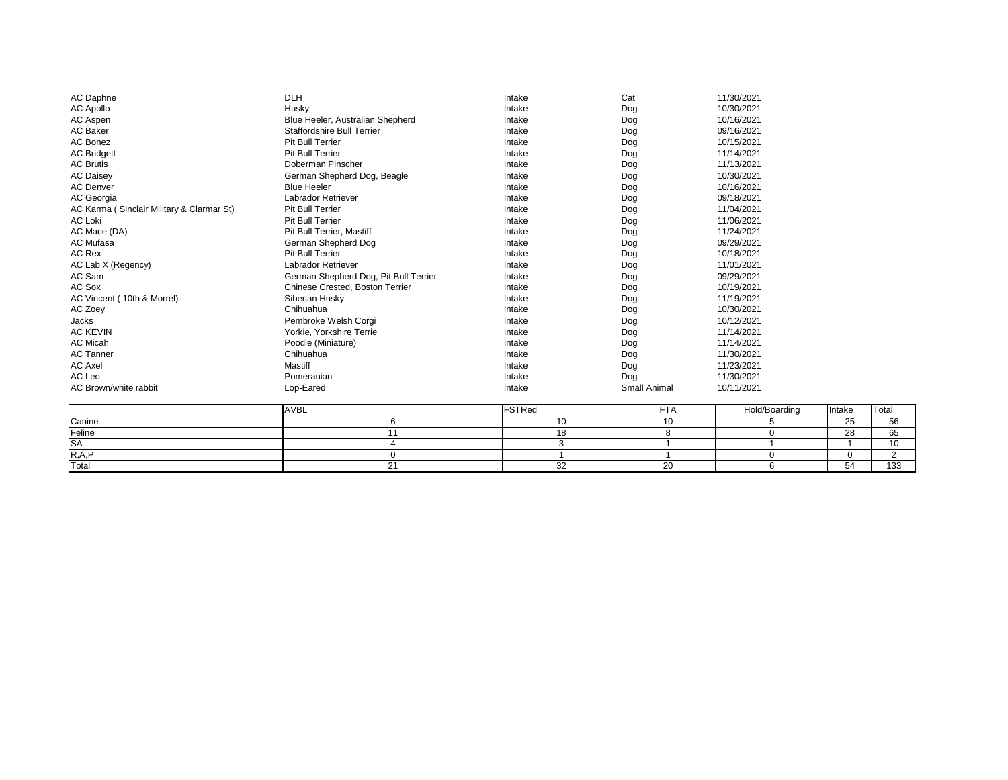| <b>AC Daphne</b>                          | <b>DLH</b>                            | Intake | Cat                 | 11/30/2021 |
|-------------------------------------------|---------------------------------------|--------|---------------------|------------|
| <b>AC Apollo</b>                          | Husky                                 | Intake | Dog                 | 10/30/2021 |
| AC Aspen                                  | Blue Heeler, Australian Shepherd      | Intake | Dog                 | 10/16/2021 |
| <b>AC Baker</b>                           | <b>Staffordshire Bull Terrier</b>     | Intake | Dog                 | 09/16/2021 |
| <b>AC Bonez</b>                           | <b>Pit Bull Terrier</b>               | Intake | Dog                 | 10/15/2021 |
| <b>AC Bridgett</b>                        | <b>Pit Bull Terrier</b>               | Intake | Dog                 | 11/14/2021 |
| <b>AC Brutis</b>                          | Doberman Pinscher                     | Intake | Dog                 | 11/13/2021 |
| <b>AC Daisey</b>                          | German Shepherd Dog, Beagle           | Intake | Dog                 | 10/30/2021 |
| <b>AC Denver</b>                          | <b>Blue Heeler</b>                    | Intake | Dog                 | 10/16/2021 |
| AC Georgia                                | <b>Labrador Retriever</b>             | Intake | Dog                 | 09/18/2021 |
| AC Karma (Sinclair Military & Clarmar St) | <b>Pit Bull Terrier</b>               | Intake | Dog                 | 11/04/2021 |
| <b>AC Loki</b>                            | Pit Bull Terrier                      | Intake | Dog                 | 11/06/2021 |
| AC Mace (DA)                              | <b>Pit Bull Terrier, Mastiff</b>      | Intake | Dog                 | 11/24/2021 |
| <b>AC Mufasa</b>                          | German Shepherd Dog                   | Intake | Dog                 | 09/29/2021 |
| AC Rex                                    | <b>Pit Bull Terrier</b>               | Intake | Dog                 | 10/18/2021 |
| AC Lab X (Regency)                        | <b>Labrador Retriever</b>             | Intake | Dog                 | 11/01/2021 |
| AC Sam                                    | German Shepherd Dog, Pit Bull Terrier | Intake | Dog                 | 09/29/2021 |
| <b>AC Sox</b>                             | Chinese Crested, Boston Terrier       | Intake | Dog                 | 10/19/2021 |
| AC Vincent (10th & Morrel)                | Siberian Husky                        | Intake | Dog                 | 11/19/2021 |
| AC Zoey                                   | Chihuahua                             | Intake | Dog                 | 10/30/2021 |
| <b>Jacks</b>                              | Pembroke Welsh Corgi                  | Intake | Dog                 | 10/12/2021 |
| <b>AC KEVIN</b>                           | Yorkie, Yorkshire Terrie              | Intake | Dog                 | 11/14/2021 |
| AC Micah                                  | Poodle (Miniature)                    | Intake | Dog                 | 11/14/2021 |
| <b>AC Tanner</b>                          | Chihuahua                             | Intake | Dog                 | 11/30/2021 |
| <b>AC Axel</b>                            | <b>Mastiff</b>                        | Intake | Dog                 | 11/23/2021 |
| AC Leo                                    | Pomeranian                            | Intake | Dog                 | 11/30/2021 |
| AC Brown/white rabbit                     | Lop-Eared                             | Intake | <b>Small Animal</b> | 10/11/2021 |

|                                     | IAVB∟ | .  | — | Hold/Boarding | <b>Intake</b> | <b>Total</b>        |
|-------------------------------------|-------|----|---|---------------|---------------|---------------------|
| Canine                              |       |    |   |               | $\sim$ $\sim$ | ドド                  |
| Feline                              |       |    |   |               | ററ<br>∠∪      | $\sim$ $\sim$<br>◡◡ |
| <b>ISA</b>                          |       |    |   |               |               | 1 O                 |
| $\mathsf{IR},\mathsf{A},\mathsf{F}$ |       |    |   |               |               |                     |
| <b>T</b> otal                       |       | ~~ |   |               |               | $\sqrt{2}$<br>טטו   |

| 1/30/2021 |
|-----------|
| 0/30/2021 |
| 0/16/2021 |
| 9/16/2021 |
| 0/15/2021 |
| 1/14/2021 |
| 1/13/2021 |
| 0/30/2021 |
| 0/16/2021 |
| 9/18/2021 |
| 1/04/2021 |
| 1/06/2021 |
| 1/24/2021 |
| 9/29/2021 |
| 0/18/2021 |
| 1/01/2021 |
| 9/29/2021 |
| 0/19/2021 |
| 1/19/2021 |
| 0/30/2021 |
| 0/12/2021 |
| 1/14/2021 |
| 1/14/2021 |
| 1/30/2021 |
| 1/23/2021 |
| 1/30/2021 |
| 0/11/2021 |
|           |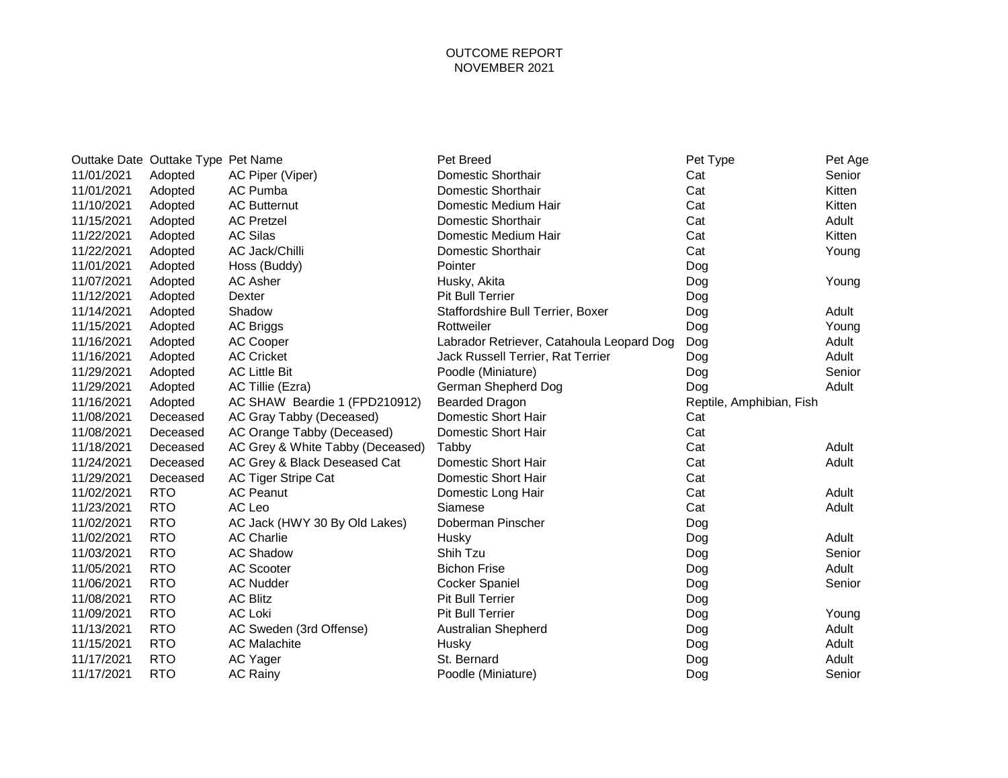## OUTCOME REPORT NOVEMBER 2021

|            | Outtake Date Outtake Type Pet Name |                                  | Pet Breed                                 | Pet Type                 | Pet Age |
|------------|------------------------------------|----------------------------------|-------------------------------------------|--------------------------|---------|
| 11/01/2021 | Adopted                            | AC Piper (Viper)                 | <b>Domestic Shorthair</b>                 | Cat                      | Senior  |
| 11/01/2021 | Adopted                            | AC Pumba                         | <b>Domestic Shorthair</b>                 | Cat                      | Kitten  |
| 11/10/2021 | Adopted                            | <b>AC Butternut</b>              | Domestic Medium Hair                      | Cat                      | Kitten  |
| 11/15/2021 | Adopted                            | <b>AC Pretzel</b>                | <b>Domestic Shorthair</b>                 | Cat                      | Adult   |
| 11/22/2021 | Adopted                            | <b>AC Silas</b>                  | Domestic Medium Hair                      | Cat                      | Kitten  |
| 11/22/2021 | Adopted                            | AC Jack/Chilli                   | <b>Domestic Shorthair</b>                 | Cat                      | Young   |
| 11/01/2021 | Adopted                            | Hoss (Buddy)                     | Pointer                                   | Dog                      |         |
| 11/07/2021 | Adopted                            | <b>AC Asher</b>                  | Husky, Akita                              | Dog                      | Young   |
| 11/12/2021 | Adopted                            | <b>Dexter</b>                    | <b>Pit Bull Terrier</b>                   | Dog                      |         |
| 11/14/2021 | Adopted                            | Shadow                           | Staffordshire Bull Terrier, Boxer         | Dog                      | Adult   |
| 11/15/2021 | Adopted                            | <b>AC Briggs</b>                 | Rottweiler                                | Dog                      | Young   |
| 11/16/2021 | Adopted                            | <b>AC Cooper</b>                 | Labrador Retriever, Catahoula Leopard Dog | Dog                      | Adult   |
| 11/16/2021 | Adopted                            | <b>AC Cricket</b>                | Jack Russell Terrier, Rat Terrier         | Dog                      | Adult   |
| 11/29/2021 | Adopted                            | <b>AC Little Bit</b>             | Poodle (Miniature)                        | Dog                      | Senior  |
| 11/29/2021 | Adopted                            | AC Tillie (Ezra)                 | German Shepherd Dog                       | Dog                      | Adult   |
| 11/16/2021 | Adopted                            | AC SHAW Beardie 1 (FPD210912)    | <b>Bearded Dragon</b>                     | Reptile, Amphibian, Fish |         |
| 11/08/2021 | Deceased                           | AC Gray Tabby (Deceased)         | Domestic Short Hair                       | Cat                      |         |
| 11/08/2021 | Deceased                           | AC Orange Tabby (Deceased)       | Domestic Short Hair                       | Cat                      |         |
| 11/18/2021 | Deceased                           | AC Grey & White Tabby (Deceased) | Tabby                                     | Cat                      | Adult   |
| 11/24/2021 | Deceased                           | AC Grey & Black Deseased Cat     | Domestic Short Hair                       | Cat                      | Adult   |
| 11/29/2021 | Deceased                           | <b>AC Tiger Stripe Cat</b>       | Domestic Short Hair                       | Cat                      |         |
| 11/02/2021 | <b>RTO</b>                         | <b>AC Peanut</b>                 | Domestic Long Hair                        | Cat                      | Adult   |
| 11/23/2021 | <b>RTO</b>                         | AC Leo                           | Siamese                                   | Cat                      | Adult   |
| 11/02/2021 | <b>RTO</b>                         | AC Jack (HWY 30 By Old Lakes)    | Doberman Pinscher                         | Dog                      |         |
| 11/02/2021 | <b>RTO</b>                         | <b>AC Charlie</b>                | Husky                                     | Dog                      | Adult   |
| 11/03/2021 | <b>RTO</b>                         | <b>AC Shadow</b>                 | Shih Tzu                                  | Dog                      | Senior  |
| 11/05/2021 | <b>RTO</b>                         | <b>AC Scooter</b>                | <b>Bichon Frise</b>                       | Dog                      | Adult   |
| 11/06/2021 | <b>RTO</b>                         | <b>AC Nudder</b>                 | <b>Cocker Spaniel</b>                     | Dog                      | Senior  |
| 11/08/2021 | <b>RTO</b>                         | <b>AC Blitz</b>                  | <b>Pit Bull Terrier</b>                   | Dog                      |         |
| 11/09/2021 | <b>RTO</b>                         | <b>AC Loki</b>                   | <b>Pit Bull Terrier</b>                   | Dog                      | Young   |
| 11/13/2021 | <b>RTO</b>                         | AC Sweden (3rd Offense)          | <b>Australian Shepherd</b>                | Dog                      | Adult   |
| 11/15/2021 | <b>RTO</b>                         | <b>AC Malachite</b>              | Husky                                     | Dog                      | Adult   |
| 11/17/2021 | <b>RTO</b>                         | AC Yager                         | St. Bernard                               | Dog                      | Adult   |
| 11/17/2021 | <b>RTO</b>                         | <b>AC Rainy</b>                  | Poodle (Miniature)                        | Dog                      | Senior  |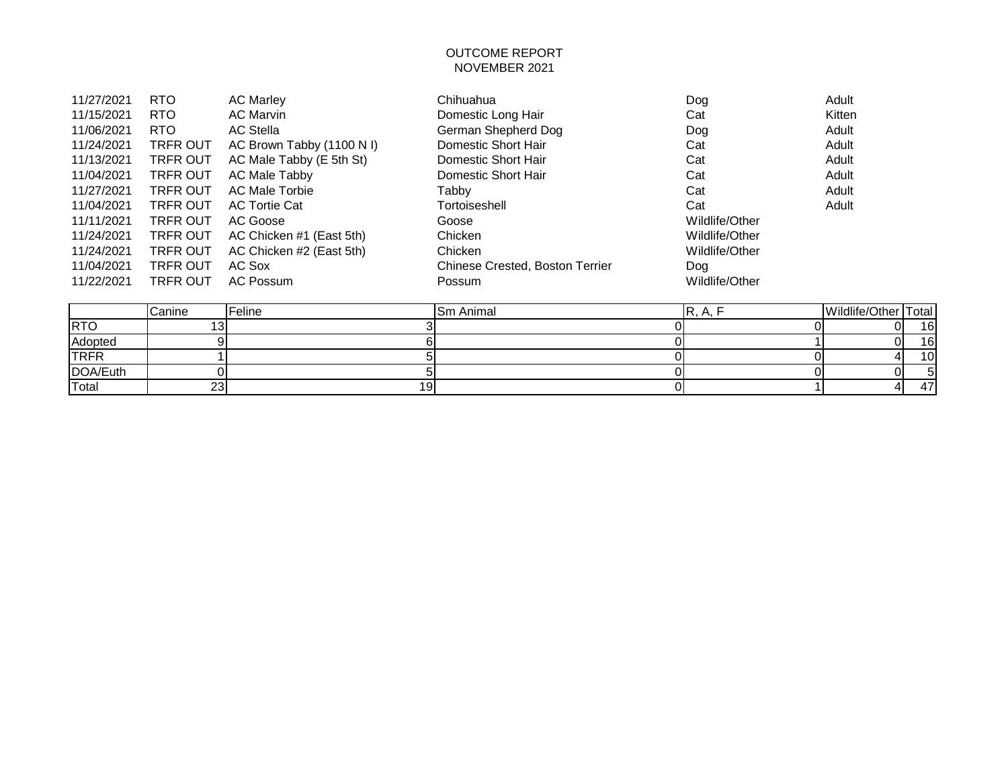## OUTCOME REPORT NOVEMBER 2021

| 11/27/2021 | <b>RTO</b>      | <b>AC Marley</b>          | Chihuahua                       | Dog            | Adult  |
|------------|-----------------|---------------------------|---------------------------------|----------------|--------|
| 11/15/2021 | <b>RTO</b>      | <b>AC Marvin</b>          | Domestic Long Hair              | Cat            | Kitten |
| 11/06/2021 | <b>RTO</b>      | <b>AC Stella</b>          | German Shepherd Dog             | Dog            | Adult  |
| 11/24/2021 | <b>TRFR OUT</b> | AC Brown Tabby (1100 N I) | Domestic Short Hair             | Cat            | Adult  |
| 11/13/2021 | <b>TRFR OUT</b> | AC Male Tabby (E 5th St)  | Domestic Short Hair             | Cat            | Adult  |
| 11/04/2021 | TRFR OUT        | AC Male Tabby             | Domestic Short Hair             | Cat            | Adult  |
| 11/27/2021 | <b>TRFR OUT</b> | <b>AC Male Torbie</b>     | Tabby                           | Cat            | Adult  |
| 11/04/2021 | <b>TRFR OUT</b> | <b>AC Tortie Cat</b>      | Tortoiseshell                   | Cat            | Adult  |
| 11/11/2021 | <b>TRFR OUT</b> | AC Goose                  | Goose                           | Wildlife/Other |        |
| 11/24/2021 | <b>TRFR OUT</b> | AC Chicken #1 (East 5th)  | Chicken                         | Wildlife/Other |        |
| 11/24/2021 | <b>TRFR OUT</b> | AC Chicken #2 (East 5th)  | Chicken                         | Wildlife/Other |        |
| 11/04/2021 | <b>TRFR OUT</b> | AC Sox                    | Chinese Crested, Boston Terrier | Dog            |        |
| 11/22/2021 | <b>TRFR OUT</b> | <b>AC Possum</b>          | Possum                          | Wildlife/Other |        |
|            |                 |                           |                                 |                |        |

|             | Canine | Feline | <b>Sm Animal</b> | $\mathbf{u}$ , $\mathbf{u}$ , $\mathbf{u}$ | Wildlife/Other   Total |                 |
|-------------|--------|--------|------------------|--------------------------------------------|------------------------|-----------------|
| <b>IRTO</b> |        |        |                  |                                            | ΩI                     | 16              |
| Adopted     |        |        |                  |                                            | ΩI                     | 16 <sub>1</sub> |
| <b>TRFR</b> |        |        |                  |                                            |                        | 10 <sub>1</sub> |
| DOA/Euth    |        |        |                  |                                            |                        |                 |
| Total       | 23     | 19     |                  |                                            |                        | 47              |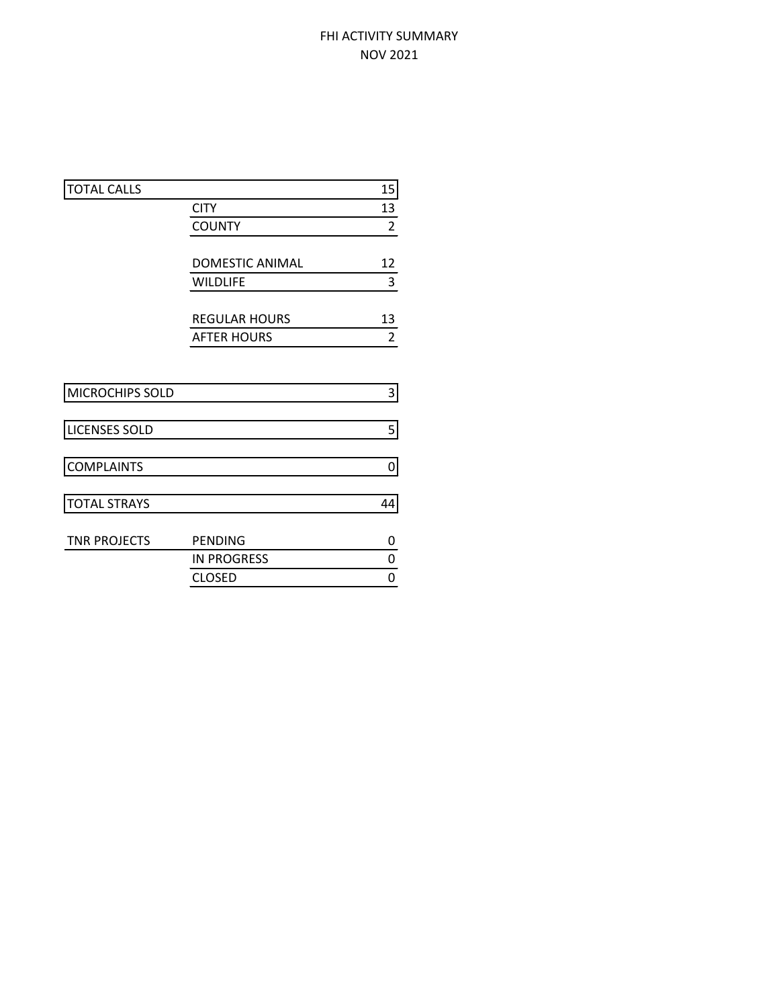## FHI ACTIVITY SUMMARY NOV 2021

| <b>TOTAL CALLS</b>   |                      | 15             |
|----------------------|----------------------|----------------|
|                      | <b>CITY</b>          | 13             |
|                      | <b>COUNTY</b>        | $\overline{2}$ |
|                      |                      |                |
|                      | DOMESTIC ANIMAL      | 12             |
|                      | <b>WILDLIFE</b>      | 3              |
|                      |                      |                |
|                      | <b>REGULAR HOURS</b> | 13             |
|                      | <b>AFTER HOURS</b>   | 2              |
|                      |                      |                |
|                      |                      |                |
| MICROCHIPS SOLD      |                      | 3              |
|                      |                      |                |
| <b>LICENSES SOLD</b> |                      | 5              |
|                      |                      |                |
| <b>COMPLAINTS</b>    |                      | 0              |
|                      |                      |                |
| <b>TOTAL STRAYS</b>  |                      | 44             |
|                      |                      |                |
| <b>TNR PROJECTS</b>  | <b>PENDING</b>       | 0              |
|                      | <b>IN PROGRESS</b>   | 0              |
|                      | <b>CLOSED</b>        | 0              |
|                      |                      |                |